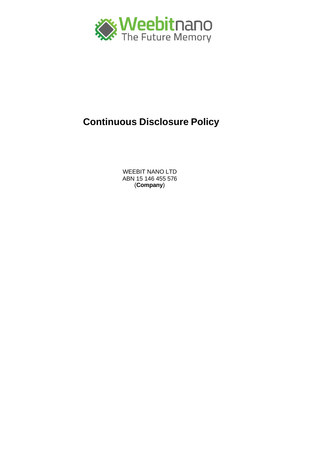

# **Continuous Disclosure Policy**

WEEBIT NANO LTD ABN 15 146 455 576 (**Company**)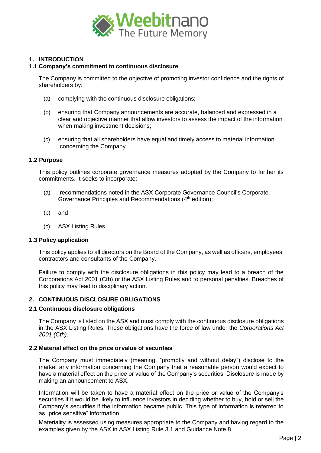

# **1. INTRODUCTION**

## **1.1 Company's commitment to continuous disclosure**

The Company is committed to the objective of promoting investor confidence and the rights of shareholders by:

- (a) complying with the continuous disclosure obligations;
- (b) ensuring that Company announcements are accurate, balanced and expressed in a clear and objective manner that allow investors to assess the impact of the information when making investment decisions;
- (c) ensuring that all shareholders have equal and timely access to material information concerning the Company.

## **1.2 Purpose**

This policy outlines corporate governance measures adopted by the Company to further its commitments. It seeks to incorporate:

- (a) recommendations noted in the ASX Corporate Governance Council's Corporate Governance Principles and Recommendations (4<sup>th</sup> edition);
- (b) and
- (c) ASX Listing Rules.

### **1.3 Policy application**

This policy applies to all directors on the Board of the Company, as well as officers, employees, contractors and consultants of the Company.

Failure to comply with the disclosure obligations in this policy may lead to a breach of the Corporations Act 2001 (Cth) or the ASX Listing Rules and to personal penalties. Breaches of this policy may lead to disciplinary action.

## **2. CONTINUOUS DISCLOSURE OBLIGATIONS**

### **2.1 Continuous disclosure obligations**

The Company is listed on the ASX and must comply with the continuous disclosure obligations in the ASX Listing Rules. These obligations have the force of law under the *Corporations Act 2001 (Cth)*.

## **2.2 Material effect on the price orvalue of securities**

The Company must immediately (meaning, "promptly and without delay") disclose to the market any information concerning the Company that a reasonable person would expect to have a material effect on the price or value of the Company's securities. Disclosure is made by making an announcement to ASX.

Information will be taken to have a material effect on the price or value of the Company's securities if it would be likely to influence investors in deciding whether to buy, hold or sell the Company's securities if the information became public. This type of information is referred to as "price sensitive" information.

Materiality is assessed using measures appropriate to the Company and having regard to the examples given by the ASX in ASX Listing Rule 3.1 and Guidance Note 8.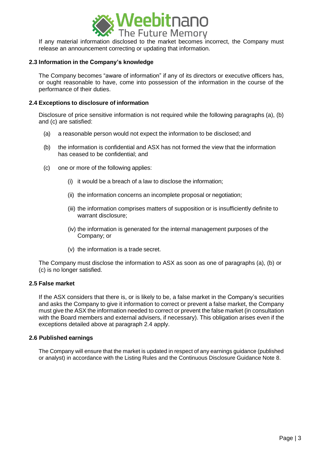

release an announcement correcting or updating that information.

## **2.3 Information in the Company's knowledge**

The Company becomes "aware of information" if any of its directors or executive officers has, or ought reasonable to have, come into possession of the information in the course of the performance of their duties.

## **2.4 Exceptions to disclosure of information**

Disclosure of price sensitive information is not required while the following paragraphs (a), (b) and (c) are satisfied:

- (a) a reasonable person would not expect the information to be disclosed; and
- (b) the information is confidential and ASX has not formed the view that the information has ceased to be confidential; and
- (c) one or more of the following applies:
	- (i) it would be a breach of a law to disclose the information;
	- (ii) the information concerns an incomplete proposal or negotiation;
	- (iii) the information comprises matters of supposition or is insufficiently definite to warrant disclosure;
	- (iv) the information is generated for the internal management purposes of the Company; or
	- (v) the information is a trade secret.

The Company must disclose the information to ASX as soon as one of paragraphs (a), (b) or (c) is no longer satisfied.

## **2.5 False market**

If the ASX considers that there is, or is likely to be, a false market in the Company's securities and asks the Company to give it information to correct or prevent a false market, the Company must give the ASX the information needed to correct or prevent the false market (in consultation with the Board members and external advisers, if necessary). This obligation arises even if the exceptions detailed above at paragraph 2.4 apply.

### **2.6 Published earnings**

The Company will ensure that the market is updated in respect of any earnings guidance (published or analyst) in accordance with the Listing Rules and the Continuous Disclosure Guidance Note 8.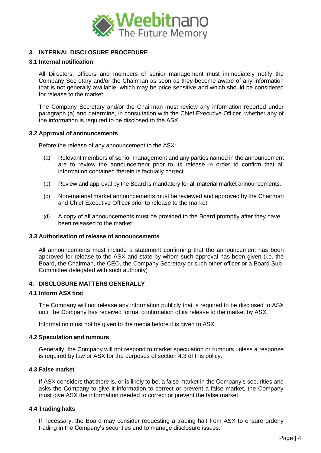

# **3. INTERNAL DISCLOSURE PROCEDURE**

## **3.1 Internal notification**

All Directors, officers and members of senior management must immediately notify the Company Secretary and/or the Chairman as soon as they become aware of any information that is not generally available, which may be price sensitive and which should be considered for release to the market.

The Company Secretary and/or the Chairman must review any information reported under paragraph (a) and determine, in consultation with the Chief Executive Officer, whether any of the information is required to be disclosed to the ASX.

## **3.2 Approval of announcements**

Before the release of any announcement to the ASX:

- (a) Relevant members of senior management and any parties named in the announcement are to review the announcement prior to its release in order to confirm that all information contained therein is factually correct.
- (b) Review and approval by the Board is mandatory for all material market announcements.
- (c) Non-material market announcements must be reviewed and approved by the Chairman and Chief Executive Officer prior to release to the market.
- (d) A copy of all announcements must be provided to the Board promptly after they have been released to the market.

## **3.3 Authorisation of release of announcements**

All announcements must include a statement confirming that the announcement has been approved for release to the ASX and state by whom such approval has been given (i.e. the Board, the Chairman, the CEO, the Company Secretary or such other officer or a Board Sub-Committee delegated with such authority)

# **4. DISCLOSURE MATTERS GENERALLY**

## **4.1 Inform ASX first**

The Company will not release any information publicly that is required to be disclosed to ASX until the Company has received formal confirmation of its release to the market by ASX.

Information must not be given to the media before it is given to ASX.

### **4.2 Speculation and rumours**

Generally, the Company will not respond to market speculation or rumours unless a response is required by law or ASX for the purposes of section 4.3 of this policy.

### **4.3 False market**

If ASX considers that there is, or is likely to be, a false market in the Company's securities and asks the Company to give it information to correct or prevent a false market, the Company must give ASX the information needed to correct or prevent the false market.

## **4.4 Trading halts**

If necessary, the Board may consider requesting a trading halt from ASX to ensure orderly trading in the Company's securities and to manage disclosure issues.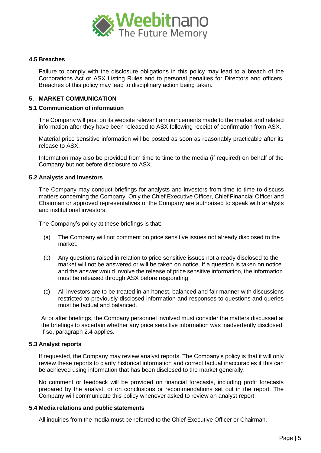

## **4.5 Breaches**

Failure to comply with the disclosure obligations in this policy may lead to a breach of the Corporations Act or ASX Listing Rules and to personal penalties for Directors and officers. Breaches of this policy may lead to disciplinary action being taken.

## **5. MARKET COMMUNICATION**

## **5.1 Communication of information**

The Company will post on its website relevant announcements made to the market and related information after they have been released to ASX following receipt of confirmation from ASX.

Material price sensitive information will be posted as soon as reasonably practicable after its release to ASX.

Information may also be provided from time to time to the media (if required) on behalf of the Company but not before disclosure to ASX.

## **5.2 Analysts and investors**

The Company may conduct briefings for analysts and investors from time to time to discuss matters concerning the Company. Only the Chief Executive Officer, Chief Financial Officer and Chairman or approved representatives of the Company are authorised to speak with analysts and institutional investors.

The Company's policy at these briefings is that:

- (a) The Company will not comment on price sensitive issues not already disclosed to the market.
- (b) Any questions raised in relation to price sensitive issues not already disclosed to the market will not be answered or will be taken on notice. If a question is taken on notice and the answer would involve the release of price sensitive information, the information must be released through ASX before responding.
- (c) All investors are to be treated in an honest, balanced and fair manner with discussions restricted to previously disclosed information and responses to questions and queries must be factual and balanced.

At or after briefings, the Company personnel involved must consider the matters discussed at the briefings to ascertain whether any price sensitive information was inadvertently disclosed. If so, paragraph 2.4 applies.

### **5.3 Analyst reports**

If requested, the Company may review analyst reports. The Company's policy is that it will only review these reports to clarify historical information and correct factual inaccuracies if this can be achieved using information that has been disclosed to the market generally.

No comment or feedback will be provided on financial forecasts, including profit forecasts prepared by the analyst, or on conclusions or recommendations set out in the report. The Company will communicate this policy whenever asked to review an analyst report.

## **5.4 Media relations and public statements**

All inquiries from the media must be referred to the Chief Executive Officer or Chairman.